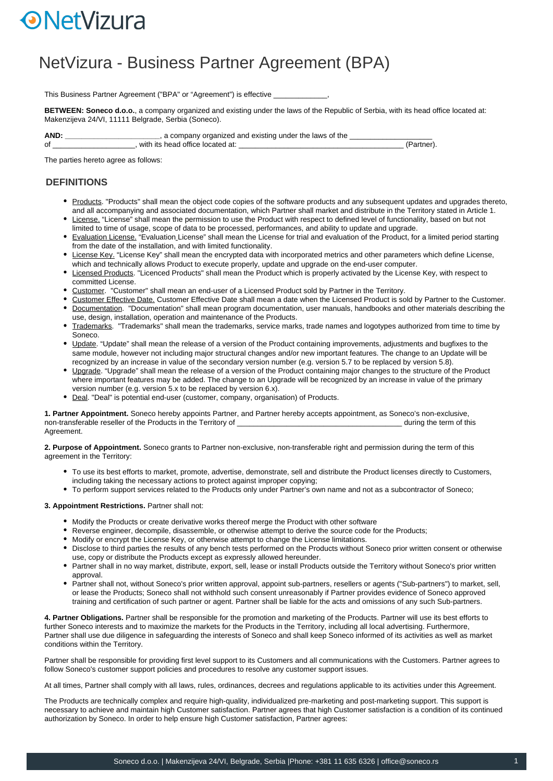# **ONetVizura**

## NetVizura - Business Partner Agreement (BPA)

This Business Partner Agreement ("BPA" or "Agreement") is effective \_

**BETWEEN: Soneco d.o.o.**, a company organized and existing under the laws of the Republic of Serbia, with its head office located at: Makenzijeva 24/VI, 11111 Belgrade, Serbia (Soneco).

**AND: \_\_\_\_\_\_\_\_\_\_\_\_\_\_\_\_\_\_\_\_\_\_\_**, a company organized and existing under the laws of the \_\_\_\_\_\_\_\_\_\_\_\_\_\_\_\_\_\_\_\_ of \_\_\_\_\_\_\_\_\_\_\_\_\_\_\_\_\_\_\_\_, with its head office located at: \_\_\_\_\_\_\_\_\_\_\_\_\_\_\_\_\_\_\_\_\_\_\_\_\_\_\_\_\_\_\_\_\_\_\_\_\_\_\_\_ (Partner).

The parties hereto agree as follows:

#### **DEFINITIONS**

- Products. "Products" shall mean the object code copies of the software products and any subsequent updates and upgrades thereto, and all accompanying and associated documentation, which Partner shall market and distribute in the Territory stated in Article 1.
- License. "License" shall mean the permission to use the Product with respect to defined level of functionality, based on but not limited to time of usage, scope of data to be processed, performances, and ability to update and upgrade.
- Evaluation License. "Evaluation License" shall mean the License for trial and evaluation of the Product, for a limited period starting from the date of the installation, and with limited functionality.
- License Key. "License Key" shall mean the encrypted data with incorporated metrics and other parameters which define License, which and technically allows Product to execute properly, update and upgrade on the end-user computer.
- Licensed Products. "Licenced Products" shall mean the Product which is properly activated by the License Key, with respect to committed License.
- Customer. "Customer" shall mean an end-user of a Licensed Product sold by Partner in the Territory.
- Customer Effective Date. Customer Effective Date shall mean a date when the Licensed Product is sold by Partner to the Customer. Documentation. "Documentation" shall mean program documentation, user manuals, handbooks and other materials describing the use, design, installation, operation and maintenance of the Products.
- Trademarks. "Trademarks" shall mean the trademarks, service marks, trade names and logotypes authorized from time to time by Soneco.
- Update. "Update" shall mean the release of a version of the Product containing improvements, adjustments and bugfixes to the same module, however not including major structural changes and/or new important features. The change to an Update will be recognized by an increase in value of the secondary version number (e.g. version 5.7 to be replaced by version 5.8).
- Upgrade. "Upgrade" shall mean the release of a version of the Product containing major changes to the structure of the Product where important features may be added. The change to an Upgrade will be recognized by an increase in value of the primary version number (e.g. version 5.x to be replaced by version 6.x).
- Deal. "Deal" is potential end-user (customer, company, organisation) of Products.

**1. Partner Appointment.** Soneco hereby appoints Partner, and Partner hereby accepts appointment, as Soneco's non-exclusive, non-transferable reseller of the Products in the Territory of **we are all assumed to the term of this** non-transferable reseller of this Agreement.

**2. Purpose of Appointment.** Soneco grants to Partner non-exclusive, non-transferable right and permission during the term of this agreement in the Territory:

- To use its best efforts to market, promote, advertise, demonstrate, sell and distribute the Product licenses directly to Customers, including taking the necessary actions to protect against improper copying;
- To perform support services related to the Products only under Partner's own name and not as a subcontractor of Soneco;

#### **3. Appointment Restrictions.** Partner shall not:

- Modify the Products or create derivative works thereof merge the Product with other software
- Reverse engineer, decompile, disassemble, or otherwise attempt to derive the source code for the Products;
- $\bullet$  Modify or encrypt the License Key, or otherwise attempt to change the License limitations.
- Disclose to third parties the results of any bench tests performed on the Products without Soneco prior written consent or otherwise use, copy or distribute the Products except as expressly allowed hereunder.
- Partner shall in no way market, distribute, export, sell, lease or install Products outside the Territory without Soneco's prior written approval.
- Partner shall not, without Soneco's prior written approval, appoint sub-partners, resellers or agents ("Sub-partners") to market, sell, or lease the Products; Soneco shall not withhold such consent unreasonably if Partner provides evidence of Soneco approved training and certification of such partner or agent. Partner shall be liable for the acts and omissions of any such Sub-partners.

**4. Partner Obligations.** Partner shall be responsible for the promotion and marketing of the Products. Partner will use its best efforts to further Soneco interests and to maximize the markets for the Products in the Territory, including all local advertising. Furthermore, Partner shall use due diligence in safeguarding the interests of Soneco and shall keep Soneco informed of its activities as well as market conditions within the Territory.

Partner shall be responsible for providing first level support to its Customers and all communications with the Customers. Partner agrees to follow Soneco's customer support policies and procedures to resolve any customer support issues.

At all times, Partner shall comply with all laws, rules, ordinances, decrees and regulations applicable to its activities under this Agreement.

The Products are technically complex and require high-quality, individualized pre-marketing and post-marketing support. This support is necessary to achieve and maintain high Customer satisfaction. Partner agrees that high Customer satisfaction is a condition of its continued authorization by Soneco. In order to help ensure high Customer satisfaction, Partner agrees: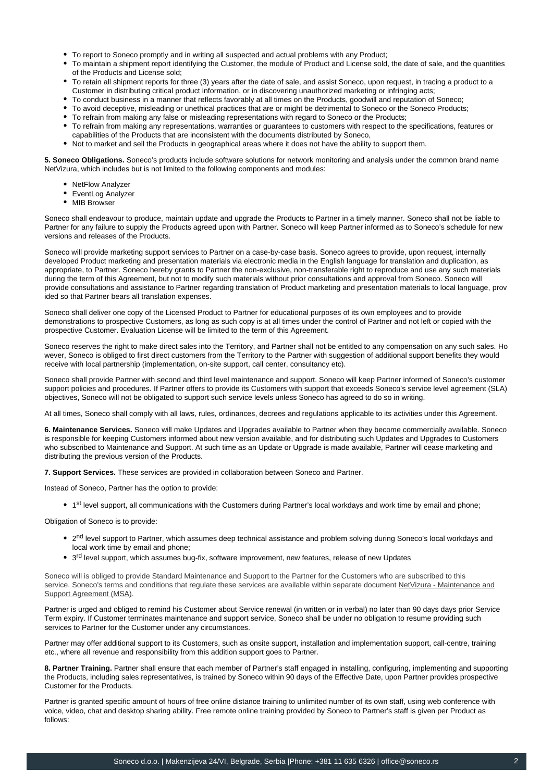- To report to Soneco promptly and in writing all suspected and actual problems with any Product;
- To maintain a shipment report identifying the Customer, the module of Product and License sold, the date of sale, and the quantities of the Products and License sold;
- To retain all shipment reports for three (3) years after the date of sale, and assist Soneco, upon request, in tracing a product to a Customer in distributing critical product information, or in discovering unauthorized marketing or infringing acts;
- To conduct business in a manner that reflects favorably at all times on the Products, goodwill and reputation of Soneco;
- To avoid deceptive, misleading or unethical practices that are or might be detrimental to Soneco or the Soneco Products;
- To refrain from making any false or misleading representations with regard to Soneco or the Products;
- To refrain from making any representations, warranties or guarantees to customers with respect to the specifications, features or capabilities of the Products that are inconsistent with the documents distributed by Soneco,
- Not to market and sell the Products in geographical areas where it does not have the ability to support them.

**5. Soneco Obligations.** Soneco's products include software solutions for network monitoring and analysis under the common brand name NetVizura, which includes but is not limited to the following components and modules:

- NetFlow Analyzer
- EventLog Analyzer
- MIB Browser

Soneco shall endeavour to produce, maintain update and upgrade the Products to Partner in a timely manner. Soneco shall not be liable to Partner for any failure to supply the Products agreed upon with Partner. Soneco will keep Partner informed as to Soneco's schedule for new versions and releases of the Products.

Soneco will provide marketing support services to Partner on a case-by-case basis. Soneco agrees to provide, upon request, internally developed Product marketing and presentation materials via electronic media in the English language for translation and duplication, as appropriate, to Partner. Soneco hereby grants to Partner the non-exclusive, non-transferable right to reproduce and use any such materials during the term of this Agreement, but not to modify such materials without prior consultations and approval from Soneco. Soneco will provide consultations and assistance to Partner regarding translation of Product marketing and presentation materials to local language, prov ided so that Partner bears all translation expenses.

Soneco shall deliver one copy of the Licensed Product to Partner for educational purposes of its own employees and to provide demonstrations to prospective Customers, as long as such copy is at all times under the control of Partner and not left or copied with the prospective Customer. Evaluation License will be limited to the term of this Agreement.

Soneco reserves the right to make direct sales into the Territory, and Partner shall not be entitled to any compensation on any such sales. Ho wever, Soneco is obliged to first direct customers from the Territory to the Partner with suggestion of additional support benefits they would receive with local partnership (implementation, on-site support, call center, consultancy etc).

Soneco shall provide Partner with second and third level maintenance and support. Soneco will keep Partner informed of Soneco's customer support policies and procedures. If Partner offers to provide its Customers with support that exceeds Soneco's service level agreement (SLA) objectives, Soneco will not be obligated to support such service levels unless Soneco has agreed to do so in writing.

At all times, Soneco shall comply with all laws, rules, ordinances, decrees and regulations applicable to its activities under this Agreement.

**6. Maintenance Services.** Soneco will make Updates and Upgrades available to Partner when they become commercially available. Soneco is responsible for keeping Customers informed about new version available, and for distributing such Updates and Upgrades to Customers who subscribed to Maintenance and Support. At such time as an Update or Upgrade is made available, Partner will cease marketing and distributing the previous version of the Products.

**7. Support Services.** These services are provided in collaboration between Soneco and Partner.

Instead of Soneco, Partner has the option to provide:

• 1<sup>st</sup> level support, all communications with the Customers during Partner's local workdays and work time by email and phone;

Obligation of Soneco is to provide:

- 2<sup>nd</sup> level support to Partner, which assumes deep technical assistance and problem solving during Soneco's local workdays and local work time by email and phone;
- $\bullet$  3<sup>rd</sup> level support, which assumes bug-fix, software improvement, new features, release of new Updates

Soneco will is obliged to provide Standard Maintenance and Support to the Partner for the Customers who are subscribed to this service. Soneco's terms and conditions that regulate these services are available within separate document NetVizura - Maintenance and Support Agreement (MSA).

Partner is urged and obliged to remind his Customer about Service renewal (in written or in verbal) no later than 90 days days prior Service Term expiry. If Customer terminates maintenance and support service, Soneco shall be under no obligation to resume providing such services to Partner for the Customer under any circumstances.

Partner may offer additional support to its Customers, such as onsite support, installation and implementation support, call-centre, training etc., where all revenue and responsibility from this addition support goes to Partner.

**8. Partner Training.** Partner shall ensure that each member of Partner's staff engaged in installing, configuring, implementing and supporting the Products, including sales representatives, is trained by Soneco within 90 days of the Effective Date, upon Partner provides prospective Customer for the Products.

Partner is granted specific amount of hours of free online distance training to unlimited number of its own staff, using web conference with voice, video, chat and desktop sharing ability. Free remote online training provided by Soneco to Partner's staff is given per Product as follows: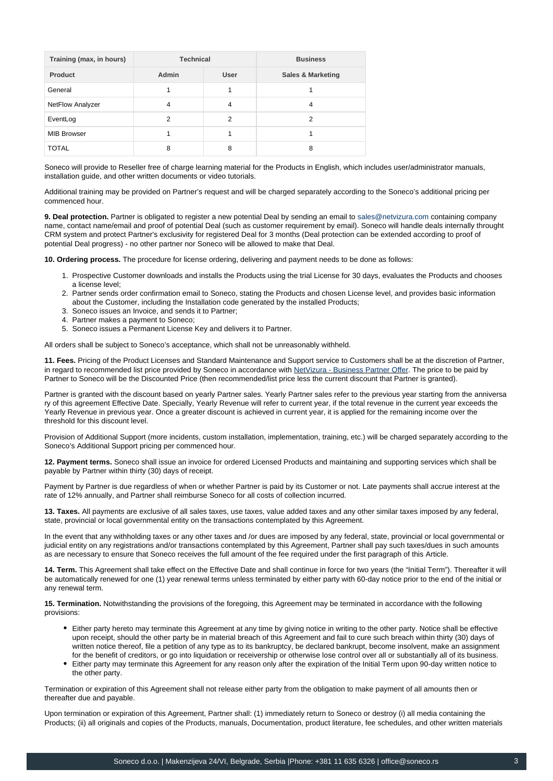| Training (max, in hours) | <b>Technical</b> |      | <b>Business</b>              |
|--------------------------|------------------|------|------------------------------|
| Product                  | <b>Admin</b>     | User | <b>Sales &amp; Marketing</b> |
| General                  |                  |      |                              |
| NetFlow Analyzer         | 4                | 4    | 4                            |
| EventLog                 | 2                | 2    | 2                            |
| <b>MIB Browser</b>       |                  |      |                              |
| <b>TOTAL</b>             | 8                | 8    | 8                            |

Soneco will provide to Reseller free of charge learning material for the Products in English, which includes user/administrator manuals, installation guide, and other written documents or video tutorials.

Additional training may be provided on Partner's request and will be charged separately according to the Soneco's additional pricing per commenced hour.

**9. Deal protection.** Partner is obligated to register a new potential Deal by sending an email to sales@netvizura.com containing company name, contact name/email and proof of potential Deal (such as customer requirement by email). Soneco will handle deals internally throught CRM system and protect Partner's exclusivity for registered Deal for 3 months (Deal protection can be extended according to proof of potential Deal progress) - no other partner nor Soneco will be allowed to make that Deal.

**10. Ordering process.** The procedure for license ordering, delivering and payment needs to be done as follows:

- 1. Prospective Customer downloads and installs the Products using the trial License for 30 days, evaluates the Products and chooses a license level;
- 2. Partner sends order confirmation email to Soneco, stating the Products and chosen License level, and provides basic information about the Customer, including the Installation code generated by the installed Products;
- 3. Soneco issues an Invoice, and sends it to Partner;
- 4. Partner makes a payment to Soneco;
- 5. Soneco issues a Permanent License Key and delivers it to Partner.

All orders shall be subject to Soneco's acceptance, which shall not be unreasonably withheld.

**11. Fees.** Pricing of the Product Licenses and Standard Maintenance and Support service to Customers shall be at the discretion of Partner, in regard to recommended list price provided by Soneco in accordance with NetVizura - Business Partner Offer. The price to be paid by Partner to Soneco will be the Discounted Price (then recommended/list price less the current discount that Partner is granted).

Partner is granted with the discount based on yearly Partner sales. Yearly Partner sales refer to the previous year starting from the anniversa ry of this agreement Effective Date. Specially, Yearly Revenue will refer to current year, if the total revenue in the current year exceeds the Yearly Revenue in previous year. Once a greater discount is achieved in current year, it is applied for the remaining income over the threshold for this discount level.

Provision of Additional Support (more incidents, custom installation, implementation, training, etc.) will be charged separately according to the Soneco's Additional Support pricing per commenced hour.

**12. Payment terms.** Soneco shall issue an invoice for ordered Licensed Products and maintaining and supporting services which shall be payable by Partner within thirty (30) days of receipt.

Payment by Partner is due regardless of when or whether Partner is paid by its Customer or not. Late payments shall accrue interest at the rate of 12% annually, and Partner shall reimburse Soneco for all costs of collection incurred.

**13. Taxes.** All payments are exclusive of all sales taxes, use taxes, value added taxes and any other similar taxes imposed by any federal, state, provincial or local governmental entity on the transactions contemplated by this Agreement.

In the event that any withholding taxes or any other taxes and /or dues are imposed by any federal, state, provincial or local governmental or judicial entity on any registrations and/or transactions contemplated by this Agreement, Partner shall pay such taxes/dues in such amounts as are necessary to ensure that Soneco receives the full amount of the fee required under the first paragraph of this Article.

**14. Term.** This Agreement shall take effect on the Effective Date and shall continue in force for two years (the "Initial Term"). Thereafter it will be automatically renewed for one (1) year renewal terms unless terminated by either party with 60-day notice prior to the end of the initial or any renewal term.

**15. Termination.** Notwithstanding the provisions of the foregoing, this Agreement may be terminated in accordance with the following provisions:

- Either party hereto may terminate this Agreement at any time by giving notice in writing to the other party. Notice shall be effective upon receipt, should the other party be in material breach of this Agreement and fail to cure such breach within thirty (30) days of written notice thereof, file a petition of any type as to its bankruptcy, be declared bankrupt, become insolvent, make an assignment for the benefit of creditors, or go into liquidation or receivership or otherwise lose control over all or substantially all of its business.
- Either party may terminate this Agreement for any reason only after the expiration of the Initial Term upon 90-day written notice to the other party.

Termination or expiration of this Agreement shall not release either party from the obligation to make payment of all amounts then or thereafter due and payable.

Upon termination or expiration of this Agreement, Partner shall: (1) immediately return to Soneco or destroy (i) all media containing the Products; (ii) all originals and copies of the Products, manuals, Documentation, product literature, fee schedules, and other written materials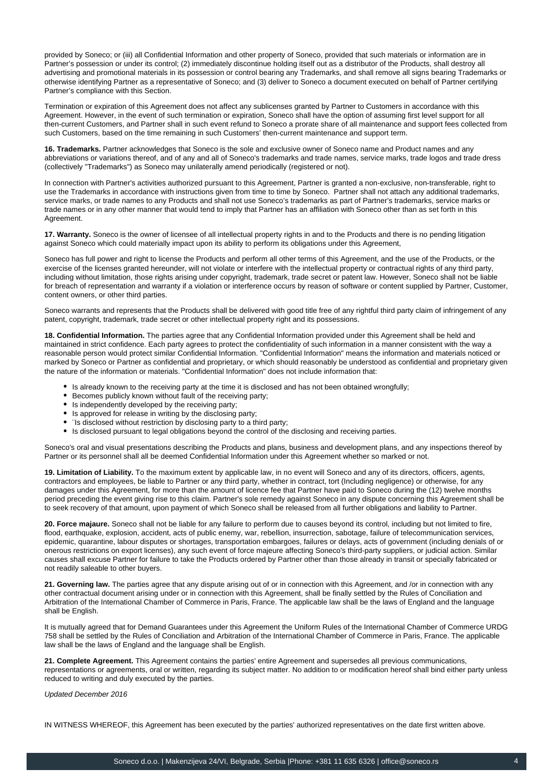provided by Soneco; or (iii) all Confidential Information and other property of Soneco, provided that such materials or information are in Partner's possession or under its control; (2) immediately discontinue holding itself out as a distributor of the Products, shall destroy all advertising and promotional materials in its possession or control bearing any Trademarks, and shall remove all signs bearing Trademarks or otherwise identifying Partner as a representative of Soneco; and (3) deliver to Soneco a document executed on behalf of Partner certifying Partner's compliance with this Section.

Termination or expiration of this Agreement does not affect any sublicenses granted by Partner to Customers in accordance with this Agreement. However, in the event of such termination or expiration, Soneco shall have the option of assuming first level support for all then-current Customers, and Partner shall in such event refund to Soneco a prorate share of all maintenance and support fees collected from such Customers, based on the time remaining in such Customers' then-current maintenance and support term.

**16. Trademarks.** Partner acknowledges that Soneco is the sole and exclusive owner of Soneco name and Product names and any abbreviations or variations thereof, and of any and all of Soneco's trademarks and trade names, service marks, trade logos and trade dress (collectively "Trademarks") as Soneco may unilaterally amend periodically (registered or not).

In connection with Partner's activities authorized pursuant to this Agreement, Partner is granted a non-exclusive, non-transferable, right to use the Trademarks in accordance with instructions given from time to time by Soneco. Partner shall not attach any additional trademarks, service marks, or trade names to any Products and shall not use Soneco's trademarks as part of Partner's trademarks, service marks or trade names or in any other manner that would tend to imply that Partner has an affiliation with Soneco other than as set forth in this Agreement.

**17. Warranty.** Soneco is the owner of licensee of all intellectual property rights in and to the Products and there is no pending litigation against Soneco which could materially impact upon its ability to perform its obligations under this Agreement,

Soneco has full power and right to license the Products and perform all other terms of this Agreement, and the use of the Products, or the exercise of the licenses granted hereunder, will not violate or interfere with the intellectual property or contractual rights of any third party, including without limitation, those rights arising under copyright, trademark, trade secret or patent law. However, Soneco shall not be liable for breach of representation and warranty if a violation or interference occurs by reason of software or content supplied by Partner, Customer, content owners, or other third parties.

Soneco warrants and represents that the Products shall be delivered with good title free of any rightful third party claim of infringement of any patent, copyright, trademark, trade secret or other intellectual property right and its possessions.

**18. Confidential Information.** The parties agree that any Confidential Information provided under this Agreement shall be held and maintained in strict confidence. Each party agrees to protect the confidentiality of such information in a manner consistent with the way a reasonable person would protect similar Confidential Information. "Confidential Information" means the information and materials noticed or marked by Soneco or Partner as confidential and proprietary, or which should reasonably be understood as confidential and proprietary given the nature of the information or materials. "Confidential Information" does not include information that:

- Is already known to the receiving party at the time it is disclosed and has not been obtained wrongfully;
- Becomes publicly known without fault of the receiving party;
- Is independently developed by the receiving party;
- $\bullet$  Is approved for release in writing by the disclosing party;
- ¨Is disclosed without restriction by disclosing party to a third party;
- Is disclosed pursuant to legal obligations beyond the control of the disclosing and receiving parties.

Soneco's oral and visual presentations describing the Products and plans, business and development plans, and any inspections thereof by Partner or its personnel shall all be deemed Confidential Information under this Agreement whether so marked or not.

**19. Limitation of Liability.** To the maximum extent by applicable law, in no event will Soneco and any of its directors, officers, agents, contractors and employees, be liable to Partner or any third party, whether in contract, tort (Including negligence) or otherwise, for any damages under this Agreement, for more than the amount of licence fee that Partner have paid to Soneco during the (12) twelve months period preceding the event giving rise to this claim. Partner's sole remedy against Soneco in any dispute concerning this Agreement shall be to seek recovery of that amount, upon payment of which Soneco shall be released from all further obligations and liability to Partner.

**20. Force majaure.** Soneco shall not be liable for any failure to perform due to causes beyond its control, including but not limited to fire, flood, earthquake, explosion, accident, acts of public enemy, war, rebellion, insurrection, sabotage, failure of telecommunication services, epidemic, quarantine, labour disputes or shortages, transportation embargoes, failures or delays, acts of government (including denials of or onerous restrictions on export licenses), any such event of force majeure affecting Soneco's third-party suppliers, or judicial action. Similar causes shall excuse Partner for failure to take the Products ordered by Partner other than those already in transit or specially fabricated or not readily saleable to other buyers.

**21. Governing law.** The parties agree that any dispute arising out of or in connection with this Agreement, and /or in connection with any other contractual document arising under or in connection with this Agreement, shall be finally settled by the Rules of Conciliation and Arbitration of the International Chamber of Commerce in Paris, France. The applicable law shall be the laws of England and the language shall be English.

It is mutually agreed that for Demand Guarantees under this Agreement the Uniform Rules of the International Chamber of Commerce URDG 758 shall be settled by the Rules of Conciliation and Arbitration of the International Chamber of Commerce in Paris, France. The applicable law shall be the laws of England and the language shall be English.

**21. Complete Agreement.** This Agreement contains the parties' entire Agreement and supersedes all previous communications, representations or agreements, oral or written, regarding its subject matter. No addition to or modification hereof shall bind either party unless reduced to writing and duly executed by the parties.

Updated December 2016

IN WITNESS WHEREOF, this Agreement has been executed by the parties' authorized representatives on the date first written above.